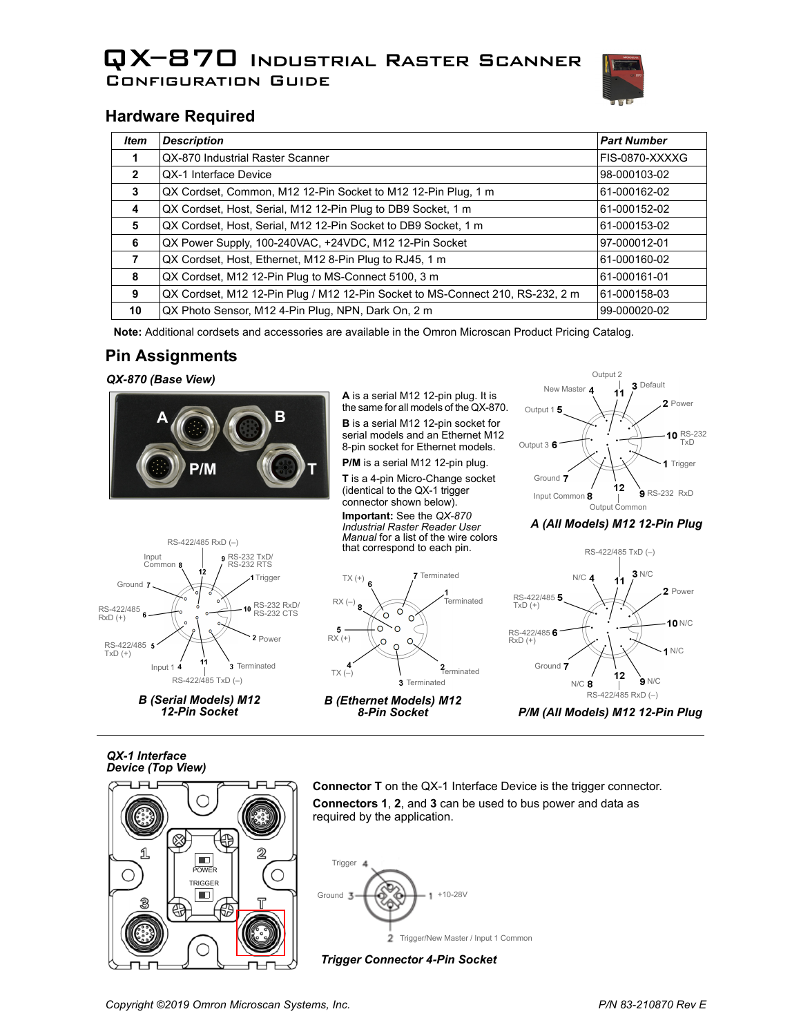# QX–870 Industrial Raster Scanner Configuration Guide



## **Hardware Required**

| <b>Item</b>  | <b>Description</b>                                                             | <b>Part Number</b> |
|--------------|--------------------------------------------------------------------------------|--------------------|
|              | QX-870 Industrial Raster Scanner                                               | FIS-0870-XXXXG     |
| $\mathbf{2}$ | QX-1 Interface Device                                                          | 98-000103-02       |
| 3            | QX Cordset, Common, M12 12-Pin Socket to M12 12-Pin Plug, 1 m                  | 61-000162-02       |
| 4            | QX Cordset, Host, Serial, M12 12-Pin Plug to DB9 Socket, 1 m                   | 61-000152-02       |
| 5            | QX Cordset, Host, Serial, M12 12-Pin Socket to DB9 Socket, 1 m                 | 61-000153-02       |
| 6            | QX Power Supply, 100-240VAC, +24VDC, M12 12-Pin Socket                         | 97-000012-01       |
| 7            | QX Cordset, Host, Ethernet, M12 8-Pin Plug to RJ45, 1 m                        | 61-000160-02       |
| 8            | QX Cordset, M12 12-Pin Plug to MS-Connect 5100, 3 m                            | 61-000161-01       |
| 9            | QX Cordset, M12 12-Pin Plug / M12 12-Pin Socket to MS-Connect 210, RS-232, 2 m | 61-000158-03       |
| 10           | QX Photo Sensor, M12 4-Pin Plug, NPN, Dark On, 2 m                             | 99-000020-02       |

**Note:** Additional cordsets and accessories are available in the Omron Microscan Product Pricing Catalog.

### **Pin Assignments**

#### *QX-870 (Base View)*



**A** is a serial M12 12-pin plug. It is the same for all models of the QX-870. **B** is a serial M12 12-pin socket for serial models and an Ethernet M12 8-pin socket for Ethernet models.

**P/M** is a serial M12 12-pin plug.

**T** is a 4-pin Micro-Change socket (identical to the QX-1 trigger connector shown below).

**Important:** See the *QX-870 Industrial Raster Reader User Manual* for a list of the wire colors that correspond to each pin.



#### *A (All Models) M12 12-Pin Plug*



*B (Serial Models) M12 12-Pin Socket*





*P/M (All Models) M12 12-Pin Plug*

*QX-1 Interface Device (Top View)*



**Connector T** on the QX-1 Interface Device is the trigger connector. **Connectors 1**, **2**, and **3** can be used to bus power and data as required by the application.



*Trigger Connector 4-Pin Socket*